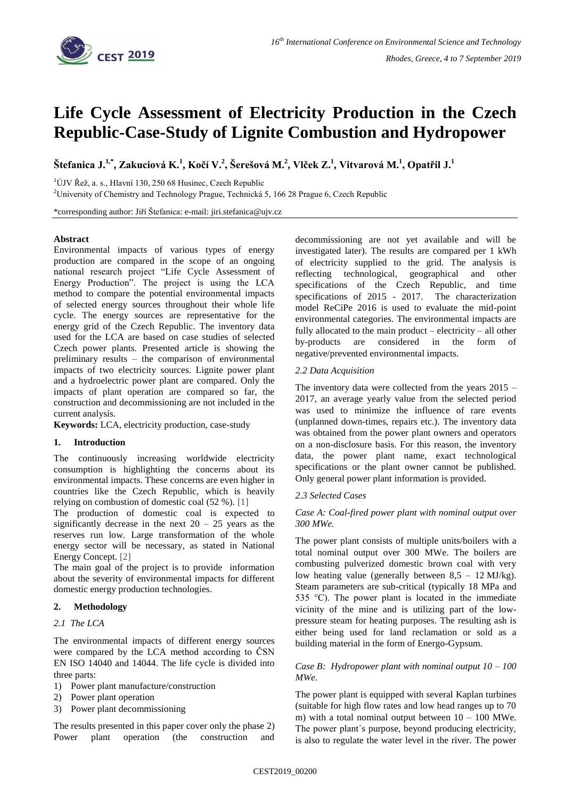

# **Life Cycle Assessment of Electricity Production in the Czech Republic-Case-Study of Lignite Combustion and Hydropower**

Štefanica J. $^{1,*}$ , Zakuciová K. $^1$ , Kočí V. $^2$ , Šerešová M. $^2$ , Vlček Z. $^1$ , Vitvarová M. $^1$ , Opatřil J. $^1$ 

 $1$ ÚJV Řež, a. s., Hlavní 130, 250 68 Husinec, Czech Republic

<sup>2</sup>University of Chemistry and Technology Prague, Technická 5, 166 28 Prague 6, Czech Republic

\*corresponding author: Jiří Štefanica: e-mail: jiri.stefanica@ujv.cz

## **Abstract**

Environmental impacts of various types of energy production are compared in the scope of an ongoing national research project "Life Cycle Assessment of Energy Production". The project is using the LCA method to compare the potential environmental impacts of selected energy sources throughout their whole life cycle. The energy sources are representative for the energy grid of the Czech Republic. The inventory data used for the LCA are based on case studies of selected Czech power plants. Presented article is showing the preliminary results – the comparison of environmental impacts of two electricity sources. Lignite power plant and a hydroelectric power plant are compared. Only the impacts of plant operation are compared so far, the construction and decommissioning are not included in the current analysis.

**Keywords:** LCA, electricity production, case-study

## **1. Introduction**

The continuously increasing worldwide electricity consumption is highlighting the concerns about its environmental impacts. These concerns are even higher in countries like the Czech Republic, which is heavily relying on combustion of domestic coal (52 %). [1]

The production of domestic coal is expected to significantly decrease in the next  $20 - 25$  years as the reserves run low. Large transformation of the whole energy sector will be necessary, as stated in National Energy Concept. [2]

The main goal of the project is to provide information about the severity of environmental impacts for different domestic energy production technologies.

## **2. Methodology**

#### *2.1 The LCA*

The environmental impacts of different energy sources were compared by the LCA method according to ČSN EN ISO 14040 and 14044. The life cycle is divided into three parts:

- 1) Power plant manufacture/construction
- 2) Power plant operation
- 3) Power plant decommissioning

The results presented in this paper cover only the phase 2) Power plant operation (the construction and decommissioning are not yet available and will be investigated later). The results are compared per 1 kWh of electricity supplied to the grid. The analysis is reflecting technological, geographical and other specifications of the Czech Republic, and time specifications of 2015 - 2017. The characterization model ReCiPe 2016 is used to evaluate the mid-point environmental categories. The environmental impacts are fully allocated to the main product – electricity – all other by-products are considered in the form of negative/prevented environmental impacts.

#### *2.2 Data Acquisition*

The inventory data were collected from the years 2015 – 2017, an average yearly value from the selected period was used to minimize the influence of rare events (unplanned down-times, repairs etc.). The inventory data was obtained from the power plant owners and operators on a non-disclosure basis. For this reason, the inventory data, the power plant name, exact technological specifications or the plant owner cannot be published. Only general power plant information is provided.

## *2.3 Selected Cases*

## *Case A: Coal-fired power plant with nominal output over 300 MWe.*

The power plant consists of multiple units/boilers with a total nominal output over 300 MWe. The boilers are combusting pulverized domestic brown coal with very low heating value (generally between  $8,5 - 12$  MJ/kg). Steam parameters are sub-critical (typically 18 MPa and 535 °C). The power plant is located in the immediate vicinity of the mine and is utilizing part of the lowpressure steam for heating purposes. The resulting ash is either being used for land reclamation or sold as a building material in the form of Energo-Gypsum.

## *Case B: Hydropower plant with nominal output 10 – 100 MWe.*

The power plant is equipped with several Kaplan turbines (suitable for high flow rates and low head ranges up to 70 m) with a total nominal output between  $10 - 100$  MWe. The power plant´s purpose, beyond producing electricity, is also to regulate the water level in the river. The power